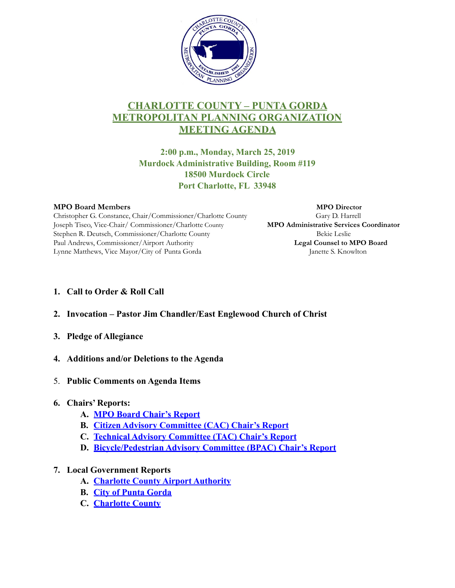

# **CHARLOTTE COUNTY – PUNTA GORDA METROPOLITAN PLANNING ORGANIZATION MEETING AGENDA**

**2:00 p.m., Monday, March 25, 2019 Murdock Administrative Building, Room #119 18500 Murdock Circle Port Charlotte, FL 33948** 

Christopher G. Constance, Chair/Commissioner/Charlotte County Gary D. Harrell Joseph Tiseo, Vice-Chair/ Commissioner/Charlotte County **MPO Administrative Services Coordinator** Stephen R. Deutsch, Commissioner/Charlotte County Franchise Bekie Leslie Paul Andrews, Commissioner/Airport Authority **Legal Counsel to MPO Board** Lynne Matthews, Vice Mayor/City of Punta Gorda Janette S. Knowlton

**MPO Board Members MPO Director**

- **1. Call to Order & Roll Call**
- **2. Invocation Pastor Jim Chandler/East Englewood Church of Christ**
- **3. Pledge of Allegiance**
- **4. Additions and/or Deletions to the Agenda**
- 5. **Public Comments on Agenda Items**

# **6. Chairs' Reports:**

- **A. [MPO Board Chair's Report](https://ccmpo.com/wp/attachments/article/MPO_Board_March_2019/6a.pdf)**
- **B. [Citizen Advisory Committee \(CAC\) Chair's Report](https://ccmpo.com/wp/attachments/article/MPO_Board_March_2019/6b.pdf)**
- **C. [Technical Advisory Committee \(TAC\) Chair's Report](https://ccmpo.com/wp/attachments/article/MPO_Board_March_2019/6c.pdf)**
- **D. [Bicycle/Pedestrian Advisory Committee \(BPAC\) Chair's Report](https://ccmpo.com/wp/attachments/article/MPO_Board_March_2019/6d.pdf)**

# **7. Local Government Reports**

- **A. [Charlotte County Airport Authority](https://ccmpo.com/wp/attachments/article/MPO_Board_March_2019/7a.pdf)**
- **B. [City of Punta Gorda](https://ccmpo.com/wp/attachments/article/MPO_Board_March_2019/7b.pdf)**
- **C. [Charlotte County](https://ccmpo.com/wp/attachments/article/MPO_Board_March_2019/7c.pdf)**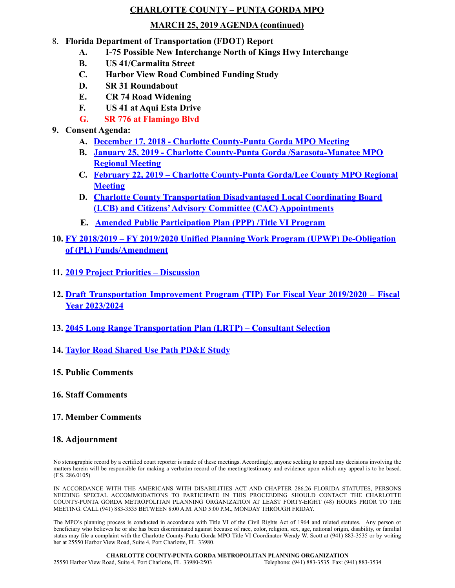#### **CHARLOTTE COUNTY – PUNTA GORDA MPO**

#### **MARCH 25, 2019 AGENDA (continued)**

### 8. **Florida Department of Transportation (FDOT) Report**

- **A. I-75 Possible New Interchange North of Kings Hwy Interchange**
- **B. US 41/Carmalita Street**
- **C. Harbor View Road Combined Funding Study**
- **D. SR 31 Roundabout**
- **E. CR 74 Road Widening**
- **F. US 41 at Aqui Esta Drive**
- **G. SR 776 at Flamingo Blvd**

# **9. Consent Agenda:**

- **A. [December 17, 2018 Charlotte County-Punta Gorda MPO Meeting](https://ccmpo.com/wp/attachments/article/MPO_Board_March_2019/9a.pdf)**
- **B. [January 25, 2019 Charlotte County-Punta Gorda /Sarasota-Manatee MPO](www.ccmpo.com/wp/attachments/article/MPO_Board_March_2019/9b.pdf) [Regional Meeting](https://ccmpo.com/wp/attachments/article/MPO_Board_March_2019/9b.pdf)**
- **C. [February 22, 2019 Charlotte County-Punta Gorda/Lee County MPO Region](www.ccmpo.com/wp/attachments/article/MPO_Board_March_2019/9c.pdf)al [Meeting](https://ccmpo.com/wp/attachments/article/MPO_Board_March_2019/9c.pdf)**
- **D. [Charlotte County Transportation Disadvantaged Local Coordinating Board](www.ccmpo.com/wp/attachments/article/MPO_Board_March_2019/9d.pdf) [\(LCB\) and Citizens' Advisory Committee \(CAC\) Appointments](https://ccmpo.com/wp/attachments/article/MPO_Board_March_2019/9d.pdf)**
- **E. [Amended Public Participation Plan \(PPP\) /Title VI Program](www.ccmpo.com/wp/attachments/article/MPO_Board_March_2019/9e.pdf)**
- **10. FY 2018/2019 FY 2019/2020 Unified Planning Work Program (UPWP) De-Obligation [of \(PL\) Funds/Amendment](https://ccmpo.com/wp/attachments/article/MPO_Board_March_2019/10.pdf)**
- **11. [2019 Project Priorities Discussion](https://ccmpo.com/wp/attachments/article/MPO_Board_March_2019/11.pdf)**
- **12. [Draft Transportation Improvement Program \(TIP\) For Fiscal Year 2019/2020 Fiscal](https://ccmpo.com/wp/attachments/article/MPO_Board_March_2019/12.pdf) [Year 2023/2024](https://ccmpo.com/wp/attachments/article/MPO_Board_March_2019/12.pdf)**
- **13. [2045 Long Range Transportation Plan \(LRTP\) Consultant Selection](https://ccmpo.com/wp/attachments/article/MPO_Board_March_2019/13.pdf)**
- **14. [Taylor Road Shared Use Path PD&E Study](https://ccmpo.com/wp/attachments/article/MPO_Board_March_2019/14.pdf)**
- **15. Public Comments**

### **16. Staff Comments**

**17. Member Comments**

# **18. Adjournment**

No stenographic record by a certified court reporter is made of these meetings. Accordingly, anyone seeking to appeal any decisions involving the matters herein will be responsible for making a verbatim record of the meeting/testimony and evidence upon which any appeal is to be based. (F.S. 286.0105)

IN ACCORDANCE WITH THE AMERICANS WITH DISABILITIES ACT AND CHAPTER 286.26 FLORIDA STATUTES, PERSONS NEEDING SPECIAL ACCOMMODATIONS TO PARTICIPATE IN THIS PROCEEDING SHOULD CONTACT THE CHARLOTTE COUNTY-PUNTA GORDA METROPOLITAN PLANNING ORGANIZATION AT LEAST FORTY-EIGHT (48) HOURS PRIOR TO THE MEETING. CALL (941) 883-3535 BETWEEN 8:00 A.M. AND 5:00 P.M., MONDAY THROUGH FRIDAY.

The MPO's planning process is conducted in accordance with Title VI of the Civil Rights Act of 1964 and related statutes. Any person or beneficiary who believes he or she has been discriminated against because of race, color, religion, sex, age, national origin, disability, or familial status may file a complaint with the Charlotte County-Punta Gorda MPO Title VI Coordinator Wendy W. Scott at (941) 883-3535 or by writing her at 25550 Harbor View Road, Suite 4, Port Charlotte, FL 33980.

**CHARLOTTE COUNTY-PUNTA GORDA METROPOLITAN PLANNING ORGANIZATION** 25550 Harbor View Road, Suite 4, Port Charlotte, FL 33980-2503